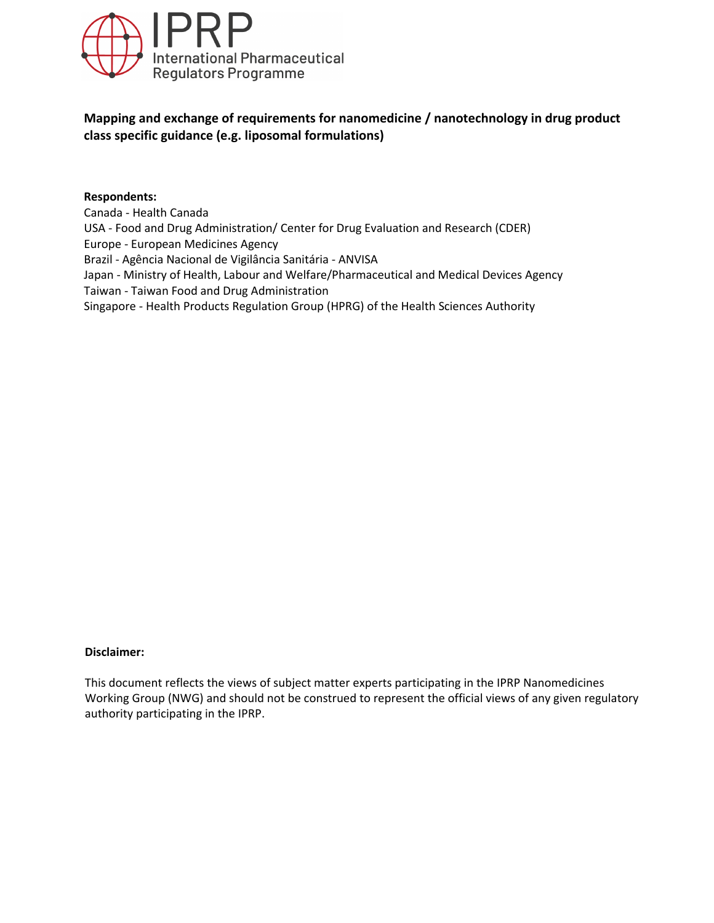

# **Mapping and exchange of requirements for nanomedicine / nanotechnology in drug product class specific guidance (e.g. liposomal formulations)**

#### **Respondents:**

Canada - Health Canada USA - Food and Drug Administration/ Center for Drug Evaluation and Research (CDER) Europe - European Medicines Agency Brazil - Agência Nacional de Vigilância Sanitária - ANVISA Japan - Ministry of Health, Labour and Welfare/Pharmaceutical and Medical Devices Agency Taiwan - Taiwan Food and Drug Administration Singapore - Health Products Regulation Group (HPRG) of the Health Sciences Authority

#### **Disclaimer:**

This document reflects the views of subject matter experts participating in the IPRP Nanomedicines Working Group (NWG) and should not be construed to represent the official views of any given regulatory authority participating in the IPRP.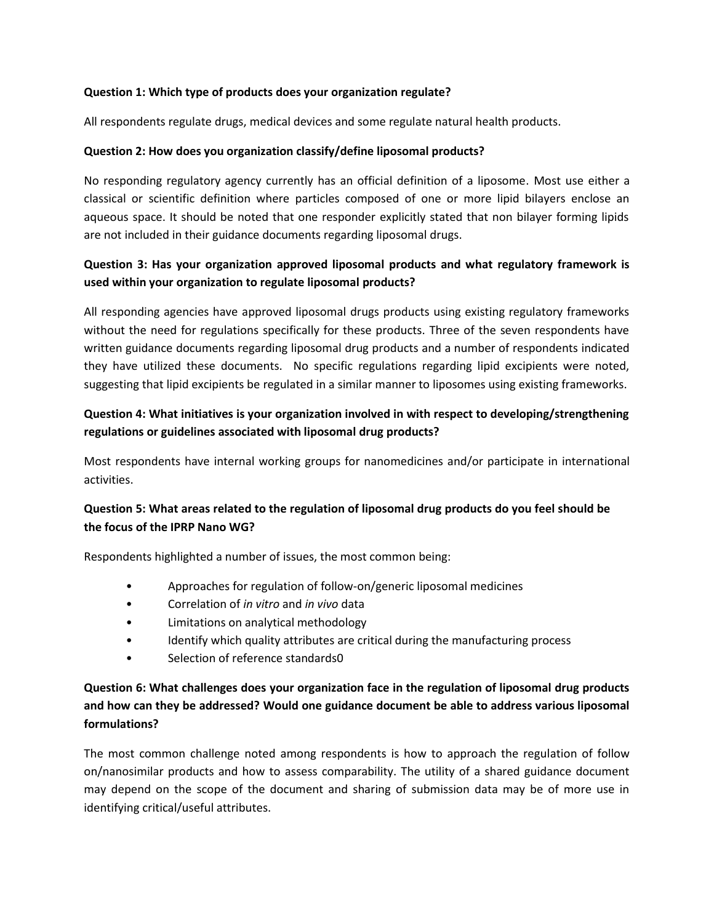### **Question 1: Which type of products does your organization regulate?**

All respondents regulate drugs, medical devices and some regulate natural health products.

### **Question 2: How does you organization classify/define liposomal products?**

No responding regulatory agency currently has an official definition of a liposome. Most use either a classical or scientific definition where particles composed of one or more lipid bilayers enclose an aqueous space. It should be noted that one responder explicitly stated that non bilayer forming lipids are not included in their guidance documents regarding liposomal drugs.

## **Question 3: Has your organization approved liposomal products and what regulatory framework is used within your organization to regulate liposomal products?**

All responding agencies have approved liposomal drugs products using existing regulatory frameworks without the need for regulations specifically for these products. Three of the seven respondents have written guidance documents regarding liposomal drug products and a number of respondents indicated they have utilized these documents. No specific regulations regarding lipid excipients were noted, suggesting that lipid excipients be regulated in a similar manner to liposomes using existing frameworks.

## **Question 4: What initiatives is your organization involved in with respect to developing/strengthening regulations or guidelines associated with liposomal drug products?**

Most respondents have internal working groups for nanomedicines and/or participate in international activities.

### **Question 5: What areas related to the regulation of liposomal drug products do you feel should be the focus of the IPRP Nano WG?**

Respondents highlighted a number of issues, the most common being:

- Approaches for regulation of follow-on/generic liposomal medicines
- Correlation of *in vitro* and *in vivo* data
- Limitations on analytical methodology
- Identify which quality attributes are critical during the manufacturing process
- Selection of reference standards0

# **Question 6: What challenges does your organization face in the regulation of liposomal drug products and how can they be addressed? Would one guidance document be able to address various liposomal formulations?**

The most common challenge noted among respondents is how to approach the regulation of follow on/nanosimilar products and how to assess comparability. The utility of a shared guidance document may depend on the scope of the document and sharing of submission data may be of more use in identifying critical/useful attributes.